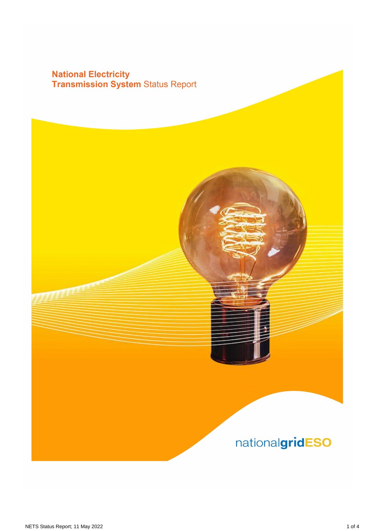# **National Electricity<br>Transmission System Status Report**

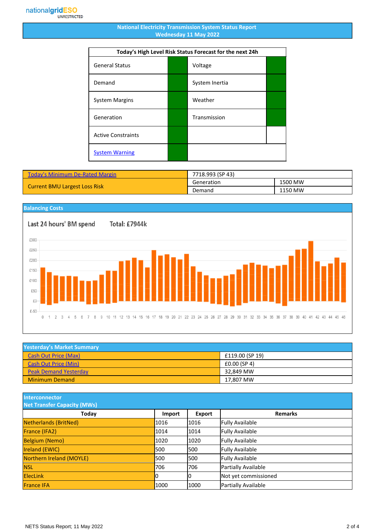#### **National Electricity Transmission System Status Report Wednesday 11 May 2022**

| Today's High Level Risk Status Forecast for the next 24h |  |                |  |  |  |  |
|----------------------------------------------------------|--|----------------|--|--|--|--|
| <b>General Status</b>                                    |  | Voltage        |  |  |  |  |
| Demand                                                   |  | System Inertia |  |  |  |  |
| <b>System Margins</b>                                    |  | Weather        |  |  |  |  |
| Generation                                               |  | Transmission   |  |  |  |  |
| <b>Active Constraints</b>                                |  |                |  |  |  |  |
| <b>System Warning</b>                                    |  |                |  |  |  |  |

| Today's Minimum De-Rated Margin      | 7718.993 (SP 43) |         |
|--------------------------------------|------------------|---------|
|                                      | Generation       | 1500 MW |
| <b>Current BMU Largest Loss Risk</b> | Demand           | 1150 MW |

### **Balancing Costs**

Total: £7944k



| <b>Yesterday's Market Summary</b> |                 |  |  |  |  |
|-----------------------------------|-----------------|--|--|--|--|
| <b>Cash Out Price (Max)</b>       | £119.00 (SP 19) |  |  |  |  |
| <b>Cash Out Price (Min)</b>       | £0.00(SP4)      |  |  |  |  |
| <b>Peak Demand Yesterday</b>      | 32.849 MW       |  |  |  |  |
| <b>Minimum Demand</b>             | 17.807 MW       |  |  |  |  |

**Interconnector**

| <b>Net Transfer Capacity (MWs)</b> |               |        |                        |  |  |  |  |
|------------------------------------|---------------|--------|------------------------|--|--|--|--|
| Today                              | <b>Import</b> | Export | <b>Remarks</b>         |  |  |  |  |
| Netherlands (BritNed)              | 1016          | 1016   | <b>Fully Available</b> |  |  |  |  |
| France (IFA2)                      | 1014          | 1014   | <b>Fully Available</b> |  |  |  |  |
| <b>Belgium (Nemo)</b>              | 1020          | 1020   | <b>Fully Available</b> |  |  |  |  |
| <b>Ireland (EWIC)</b>              | 500           | 1500   | <b>Fully Available</b> |  |  |  |  |
| Northern Ireland (MOYLE)           | 500           | 1500   | <b>Fully Available</b> |  |  |  |  |
| <b>NSL</b>                         | 706           | 706    | Partially Available    |  |  |  |  |
| <b>ElecLink</b>                    | 10            |        | Not yet commissioned   |  |  |  |  |
| <b>France IFA</b>                  | 1000          | 1000   | Partially Available    |  |  |  |  |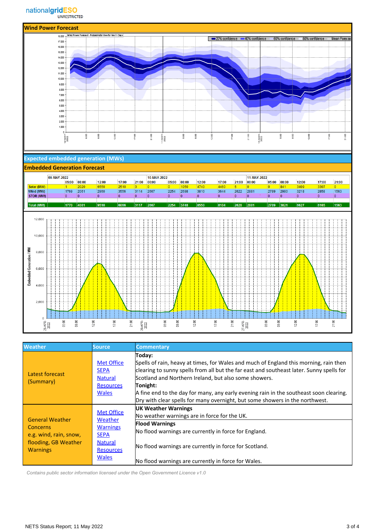

### **Expected embedded generation (MWs)**

| <b>Embedded Generation Forecast</b> |                  |                      |                |         |                |                 |                      |                |                |                |       |                         |                      |       |       |                         |       |                         |
|-------------------------------------|------------------|----------------------|----------------|---------|----------------|-----------------|----------------------|----------------|----------------|----------------|-------|-------------------------|----------------------|-------|-------|-------------------------|-------|-------------------------|
|                                     |                  | 09-MAY-2022<br>05:00 | 08:00          | 12:00   | 17:00          | 21:00           | 10-MAY-2022<br>00:00 | 05:00          | 08:00          | 12:00          | 17:00 | 21:00                   | 11-MAY-2022<br>00:00 | 05:00 | 08:00 | 12:00                   | 17:00 | 21:00                   |
| Solar (MW)                          |                  | 11.                  | 2020           | 6550    | 2510           | 3               | $\overline{0}$       | $ 0\rangle$    | 1050           | 4740           | 4460  | 16                      | lo.                  | io.   | 841   | 3409                    | 3307  | $ 0\rangle$             |
| Wind (MW)                           |                  | 1769                 | 2061           | 2960    | 3556           | 3114            | 2667                 | 2254           | 2698           | 3810           | 3644  | 2622                    | 2881                 | 2789  | 2980  | 3218                    | 2858  | 1563                    |
|                                     | <b>STOR (MW)</b> | 10                   | $\overline{0}$ | $\circ$ | $\overline{0}$ | 10              | $\mathbf{0}$         | ۱O.            | $\overline{0}$ | $\overline{0}$ | 10    | $\overline{\mathbf{0}}$ | lo.                  | 0     | 10.   | $\overline{\mathbf{0}}$ | ۱٥.   | $\overline{\mathbf{0}}$ |
|                                     |                  |                      |                |         |                |                 |                      |                |                |                |       |                         |                      |       |       |                         |       |                         |
| <b>Total (MW)</b>                   |                  | 1770                 | 4081           | 9510    | 6066           | 3117            | 2667                 | 2254           | 3748           | 8550           | 8104  | 2628                    | 2881                 | 2789  | 3821  | 6627                    | 6165  | 1563                    |
|                                     |                  |                      |                |         |                |                 |                      |                |                |                |       |                         |                      |       |       |                         |       |                         |
|                                     | 12,000           |                      |                |         |                |                 |                      |                |                |                |       |                         |                      |       |       |                         |       |                         |
|                                     |                  |                      |                |         |                |                 |                      |                |                |                |       |                         |                      |       |       |                         |       |                         |
|                                     |                  |                      |                |         |                |                 |                      |                |                |                |       |                         |                      |       |       |                         |       |                         |
|                                     | 10,000           |                      |                |         |                |                 |                      |                |                |                |       |                         |                      |       |       |                         |       |                         |
|                                     |                  |                      |                |         |                |                 |                      |                |                |                |       |                         |                      |       |       |                         |       |                         |
|                                     |                  |                      |                |         |                |                 |                      |                |                |                |       |                         |                      |       |       |                         |       |                         |
|                                     | 8,000            |                      |                |         |                |                 |                      |                |                |                |       |                         |                      |       |       |                         |       |                         |
|                                     |                  |                      |                |         |                |                 |                      |                |                |                |       |                         |                      |       |       |                         |       |                         |
|                                     |                  |                      |                |         |                |                 |                      |                |                |                |       |                         |                      |       |       |                         |       |                         |
| Embedded Generation / MW            |                  |                      |                |         |                |                 |                      |                |                |                |       |                         |                      |       |       |                         |       |                         |
|                                     | 6,000            |                      |                |         |                |                 |                      |                |                |                |       |                         |                      |       |       |                         |       |                         |
|                                     |                  |                      |                |         |                |                 |                      |                |                |                |       |                         |                      |       |       |                         |       |                         |
|                                     |                  |                      |                |         |                |                 |                      |                |                |                |       |                         |                      |       |       |                         |       |                         |
|                                     | 4,000            |                      |                |         |                |                 |                      |                |                |                |       |                         |                      |       |       |                         |       |                         |
|                                     |                  |                      |                |         |                |                 |                      |                |                |                |       |                         |                      |       |       |                         |       |                         |
|                                     |                  |                      |                |         |                |                 |                      |                |                |                |       |                         |                      |       |       |                         |       |                         |
|                                     |                  |                      |                |         |                |                 |                      |                |                |                |       |                         |                      |       |       |                         |       |                         |
|                                     | 2,000            |                      |                |         |                |                 |                      |                |                |                |       |                         |                      |       |       |                         |       |                         |
|                                     |                  |                      |                |         |                |                 |                      |                |                |                |       |                         |                      |       |       |                         |       |                         |
|                                     |                  |                      |                |         |                |                 |                      |                |                |                |       |                         |                      |       |       |                         |       |                         |
|                                     | 0                |                      |                |         |                |                 |                      |                |                |                |       |                         |                      |       |       |                         |       |                         |
|                                     | 25-APR-<br>2022  | 05:00                | 08:00          | 12:00   | 21:00<br>17:00 | 26-APR-<br>2022 |                      | 05:00<br>08:00 |                | 12:00          | 17:00 | 21:00                   | 27-APR-<br>2022      | 05:00 | 08:00 | 12:00                   | 17:00 | 21:00                   |
|                                     |                  |                      |                |         |                |                 |                      |                |                |                |       |                         |                      |       |       |                         |       |                         |

| <b>Weather</b>                                                                                                 | Source                                                                                                               | <b>Commentary</b>                                                                                                                                                                                                                                                                                                                                                                                                                          |
|----------------------------------------------------------------------------------------------------------------|----------------------------------------------------------------------------------------------------------------------|--------------------------------------------------------------------------------------------------------------------------------------------------------------------------------------------------------------------------------------------------------------------------------------------------------------------------------------------------------------------------------------------------------------------------------------------|
| Latest forecast<br>(Summary)                                                                                   | <b>Met Office</b><br><b>SEPA</b><br><b>Natural</b><br><b>Resources</b><br><b>Wales</b>                               | Today:<br>Spells of rain, heavy at times, for Wales and much of England this morning, rain then<br>clearing to sunny spells from all but the far east and southeast later. Sunny spells for<br>Scotland and Northern Ireland, but also some showers.<br>Tonight:<br>A fine end to the day for many, any early evening rain in the southeast soon clearing.<br>Dry with clear spells for many overnight, but some showers in the northwest. |
| <b>General Weather</b><br><b>Concerns</b><br>e.g. wind, rain, snow,<br>flooding, GB Weather<br><b>Warnings</b> | <b>Met Office</b><br>Weather<br><b>Warnings</b><br><b>SEPA</b><br><b>Natural</b><br><b>Resources</b><br><b>Wales</b> | <b>UK Weather Warnings</b><br>No weather warnings are in force for the UK.<br><b>Flood Warnings</b><br>No flood warnings are currently in force for England.<br>No flood warnings are currently in force for Scotland.<br>No flood warnings are currently in force for Wales.                                                                                                                                                              |

 *Contains public sector information licensed under the Open Government Licence v1.0*